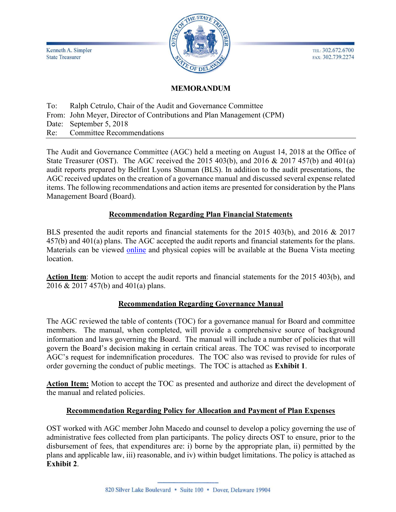Kenneth A. Simpler **State Treasurer** 



TEL: 302.672.6700 FAX: 302.739.2274

#### MEMORANDUM

To: Ralph Cetrulo, Chair of the Audit and Governance Committee From: John Meyer, Director of Contributions and Plan Management (CPM) Date: September 5, 2018 Re: Committee Recommendations

The Audit and Governance Committee (AGC) held a meeting on August 14, 2018 at the Office of State Treasurer (OST). The AGC received the 2015 403(b), and 2016 & 2017 457(b) and 401(a) audit reports prepared by Belfint Lyons Shuman (BLS). In addition to the audit presentations, the AGC received updates on the creation of a governance manual and discussed several expense related items. The following recommendations and action items are presented for consideration by the Plans Management Board (Board).

#### Recommendation Regarding Plan Financial Statements

BLS presented the audit reports and financial statements for the 2015 403(b), and 2016 & 2017 457(b) and 401(a) plans. The AGC accepted the audit reports and financial statements for the plans. Materials can be viewed online and physical copies will be available at the Buena Vista meeting location.

Action Item: Motion to accept the audit reports and financial statements for the 2015 403(b), and 2016 & 2017 457(b) and 401(a) plans.

#### Recommendation Regarding Governance Manual

The AGC reviewed the table of contents (TOC) for a governance manual for Board and committee members. The manual, when completed, will provide a comprehensive source of background information and laws governing the Board. The manual will include a number of policies that will govern the Board's decision making in certain critical areas. The TOC was revised to incorporate AGC's request for indemnification procedures. The TOC also was revised to provide for rules of order governing the conduct of public meetings. The TOC is attached as Exhibit 1.

Action Item: Motion to accept the TOC as presented and authorize and direct the development of the manual and related policies.

#### Recommendation Regarding Policy for Allocation and Payment of Plan Expenses

OST worked with AGC member John Macedo and counsel to develop a policy governing the use of administrative fees collected from plan participants. The policy directs OST to ensure, prior to the disbursement of fees, that expenditures are: i) borne by the appropriate plan, ii) permitted by the plans and applicable law, iii) reasonable, and iv) within budget limitations. The policy is attached as Exhibit 2.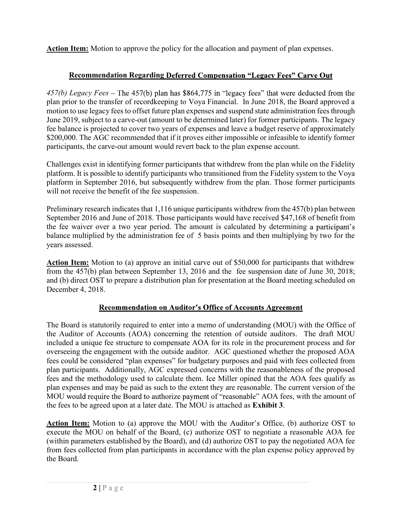Action Item: Motion to approve the policy for the allocation and payment of plan expenses.

#### Recommendation Regarding Deferred Compensation "Legacy Fees" Carve Out

457(b) Legacy Fees – The 457(b) plan has \$864,775 in "legacy fees" that were deducted from the plan prior to the transfer of recordkeeping to Voya Financial. In June 2018, the Board approved a motion to use legacy fees to offset future plan expenses and suspend state administration fees through June 2019, subject to a carve-out (amount to be determined later) for former participants. The legacy fee balance is projected to cover two years of expenses and leave a budget reserve of approximately \$200,000. The AGC recommended that if it proves either impossible or infeasible to identify former participants, the carve-out amount would revert back to the plan expense account.

Challenges exist in identifying former participants that withdrew from the plan while on the Fidelity platform. It is possible to identify participants who transitioned from the Fidelity system to the Voya platform in September 2016, but subsequently withdrew from the plan. Those former participants will not receive the benefit of the fee suspension.

Preliminary research indicates that 1,116 unique participants withdrew from the 457(b) plan between September 2016 and June of 2018. Those participants would have received \$47,168 of benefit from the fee waiver over a two year period. The amount is calculated by determining a participant's balance multiplied by the administration fee of 5 basis points and then multiplying by two for the years assessed.

**Action Item:** Motion to (a) approve an initial carve out of \$50,000 for participants that withdrew from the 457(b) plan between September 13, 2016 and the fee suspension date of June 30, 2018; and (b) direct OST to prepare a distribution plan for presentation at the Board meeting scheduled on December 4, 2018.

#### **Recommendation on Auditor's Office of Accounts Agreement**

tatutorily required to enter into a memo of understanding (MOU) with the Off<br>Accounts (AOA) concerning the retention of outside auditors. The draft<br>que fee structure to compensate AOA for its role in the procurement proces The Board is statutorily required to enter into a memo of understanding (MOU) with the Office of the Auditor of Accounts (AOA) concerning the retention of outside auditors. The draft MOU included a unique fee structure to compensate AOA for its role in the procurement process and for overseeing the engagement with the outside auditor. AGC questioned whether the proposed AOA fees could be considered "plan expenses" for budgetary purposes and paid with fees collected from plan participants. Additionally, AGC expressed concerns with the reasonableness of the proposed fees and the methodology used to calculate them. Ice Miller opined that the AOA fees qualify as plan expenses and may be paid as such to the extent they are reasonable. The current version of the MOU would require the Board to authorize payment of "reasonable" AOA fees, with the amount of the fees to be agreed upon at a later date. The MOU is attached as Exhibit 3.

Action Item: Motion to (a) approve the MOU with the Auditor's Office, (b) authorize OST to execute the MOU on behalf of the Board, (c) authorize OST to negotiate a reasonable AOA fee (within parameters established by the Board), and (d) authorize OST to pay the negotiated AOA fee from fees collected from plan participants in accordance with the plan expense policy approved by the Board.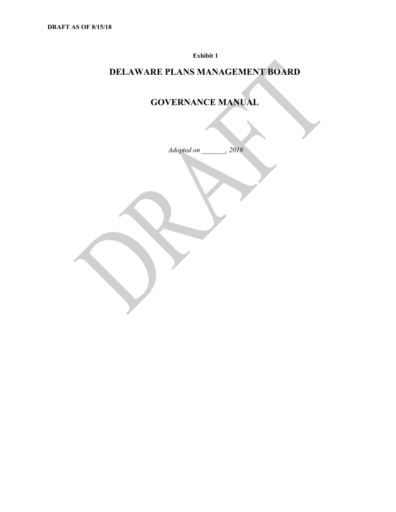Exhibit 1

# DELAWARE PLANS MANAGEMENT BOARD

# GOVERNANCE MANUAL

Adopted on \_\_\_\_\_\_\_, 2019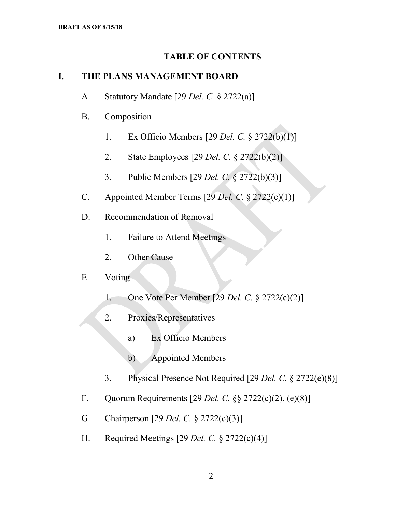#### TABLE OF CONTENTS

#### I. THE PLANS MANAGEMENT BOARD

- A. Statutory Mandate [29 *Del. C.* § 2722(a)]
- B. Composition
	- 1. Ex Officio Members [29 Del. C. § 2722(b)(1)]
	- 2. State Employees [29 Del. C. § 2722(b)(2)]
	- 3. Public Members [29 Del. C. § 2722(b)(3)]
- C. Appointed Member Terms  $[29$  Del. C.  $\S 2722(c)(1)]$
- D. Recommendation of Removal
	- 1. Failure to Attend Meetings
	- 2. Other Cause

#### E. Voting

- 1. One Vote Per Member [29 Del. C. § 2722(c)(2)]
- 2. Proxies/Representatives
	- a) Ex Officio Members
	- b) Appointed Members
- 3. Physical Presence Not Required [29 Del. C. § 2722(e)(8)]
- F. Quorum Requirements [29 Del. C.  $\&$  2722(c)(2), (e)(8)]
- G. Chairperson [29 Del. C. § 2722(c)(3)]
- H. Required Meetings [29 Del. C.  $\S 2722(c)(4)$ ]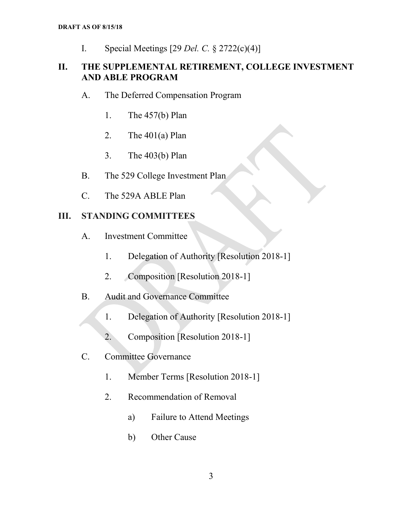I. Special Meetings  $[29$  *Del. C.* § 2722(c)(4)]

# DRAFT AS OF 8/15/18<br>
I. Special Meetings [29 *Del. C.* § 2722(c)(4)]<br> **II. THE SUPPLEMENTAL RETIREMENT, COLLEGE INVESTMENT<br>
AND ABLE PROGRAM<br>
A. The Deferred Compensation Program** AND ABLE PROGRAM

- A. The Deferred Compensation Program
	- 1. The 457(b) Plan
	- 2. The  $401(a)$  Plan
	- 3. The 403(b) Plan
- B. The 529 College Investment Plan
- C. The 529A ABLE Plan

#### III. STANDING COMMITTEES

- A. Investment Committee
	- 1. Delegation of Authority [Resolution 2018-1]
	- 2. Composition [Resolution 2018-1]
- B. Audit and Governance Committee
	- 1. Delegation of Authority [Resolution 2018-1]
	- 2. Composition [Resolution 2018-1]
- C. Committee Governance
	- 1. Member Terms [Resolution 2018-1]
	- 2. Recommendation of Removal
		- a) Failure to Attend Meetings
		- b) Other Cause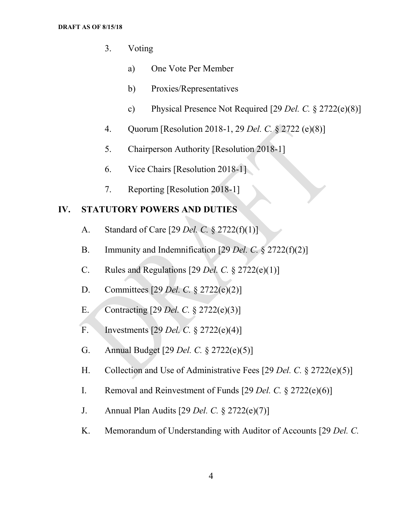- 3. Voting
	- a) One Vote Per Member
	- b) Proxies/Representatives
	- c) Physical Presence Not Required [29 Del. C.  $\S 2722(e)(8)$ ]
- 4. Quorum [Resolution 2018-1, 29 Del. C. § 2722 (e)(8)]
- 5. Chairperson Authority [Resolution 2018-1]
- 6. Vice Chairs [Resolution 2018-1]
- 7. Reporting [Resolution 2018-1]

#### IV. STATUTORY POWERS AND DUTIES

- A. Standard of Care [29 Del. C. § 2722(f)(1)]
- B. Immunity and Indemnification [29 Del. C. § 2722(f)(2)]
- C. Rules and Regulations [29 Del. C.  $\S 2722(e)(1)$ ]
- D. Committees [29 Del. C. § 2722(e)(2)]
- E. Contracting [29 Del. C. § 2722(e)(3)]
- F. Investments [29 Del. C. § 2722(e)(4)]
- G. Annual Budget [29 Del. C. § 2722(e)(5)]
- H. Collection and Use of Administrative Fees [29 Del. C. § 2722(e)(5)]
- I. Removal and Reinvestment of Funds [29 Del. C. § 2722(e)(6)]
- J. Annual Plan Audits [29 Del. C. § 2722(e)(7)]
- K. Memorandum of Understanding with Auditor of Accounts [29 Del. C.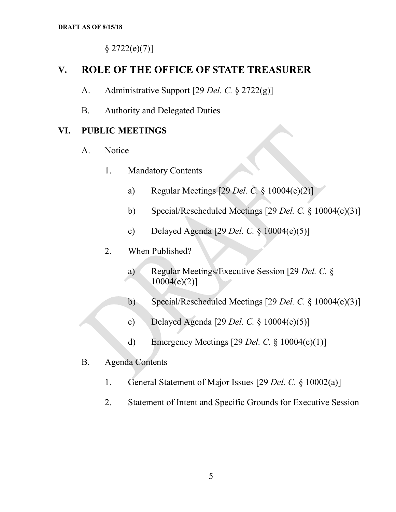$§ 2722(e)(7)]$ 

## V. ROLE OF THE OFFICE OF STATE TREASURER

- A. Administrative Support [29 *Del. C.* § 2722(g)]
- B. Authority and Delegated Duties

#### VI. PUBLIC MEETINGS

- A. Notice
	- 1. Mandatory Contents
		- a) Regular Meetings [29 Del. C. § 10004(e)(2)]
		- b) Special/Rescheduled Meetings [29 Del. C. § 10004(e)(3)]
		- c) Delayed Agenda [29 *Del. C.*  $\S$  10004(e)(5)]
	- 2. When Published?
		- a) Regular Meetings/Executive Session [29 Del. C. §  $10004(e)(2)$ ]
		- b) Special/Rescheduled Meetings [29 Del. C. § 10004(e)(3)]
		- c) Delayed Agenda [29 Del. C.  $\S$  10004(e)(5)]
		- d) Emergency Meetings [29 Del. C.  $\S$  10004(e)(1)]
- B. Agenda Contents
	- 1. General Statement of Major Issues [29 Del. C. § 10002(a)]
	- 2. Statement of Intent and Specific Grounds for Executive Session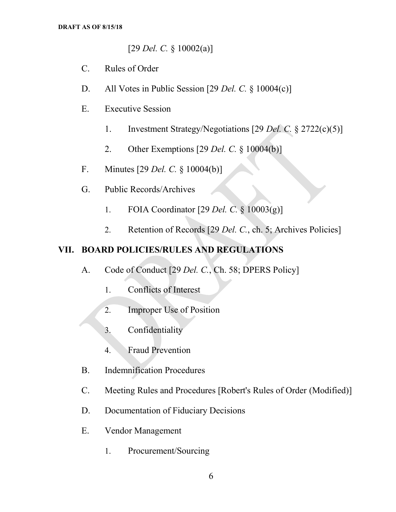$[29$  *Del. C.* § 10002(a)]

- C. Rules of Order
- D. All Votes in Public Session [29 Del. C. § 10004(c)]
- E. Executive Session
	- 1. Investment Strategy/Negotiations [29 Del. C. § 2722(c)(5)]
	- 2. Other Exemptions [29 Del. C. § 10004(b)]
- F. Minutes [29 Del. C. § 10004(b)]
- G. Public Records/Archives
	- 1. FOIA Coordinator [29 Del. C. § 10003(g)]
	- 2. Retention of Records [29 Del. C., ch. 5; Archives Policies]

#### VII. BOARD POLICIES/RULES AND REGULATIONS

- A. Code of Conduct [29 Del. C., Ch. 58; DPERS Policy]
	- 1. Conflicts of Interest
	- 2. Improper Use of Position
	- 3. Confidentiality
	- 4. Fraud Prevention
- B. Indemnification Procedures
- C. Meeting Rules and Procedures [Robert's Rules of Order (Modified)]
- D. Documentation of Fiduciary Decisions
- E. Vendor Management
	- 1. Procurement/Sourcing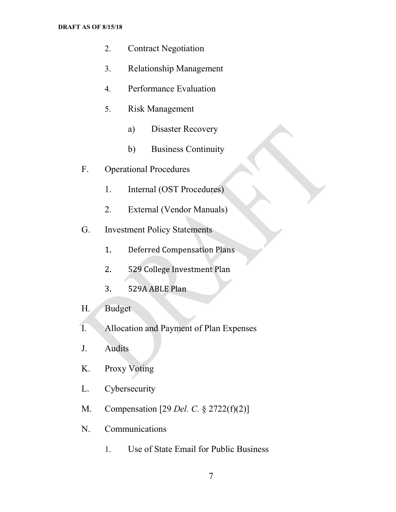#### DRAFT AS OF 8/15/18

- 2. Contract Negotiation
- 3. Relationship Management
- 4. Performance Evaluation
- 5. Risk Management
	- a) Disaster Recovery
	- b) Business Continuity
- F. Operational Procedures
	- 1. Internal (OST Procedures)
	- 2. External (Vendor Manuals)
- G. Investment Policy Statements
	- $1<sub>1</sub>$ Deferred Compensation Plans
	- 529 College Investment Plan  $2.$
	- $3<sup>1</sup>$ 529A ABLE Plan
- H. Budget
- I. Allocation and Payment of Plan Expenses
- J. Audits
- K. Proxy Voting
- L. Cybersecurity
- M. Compensation [29 Del. C. § 2722(f)(2)]
- N. Communications
	- 1. Use of State Email for Public Business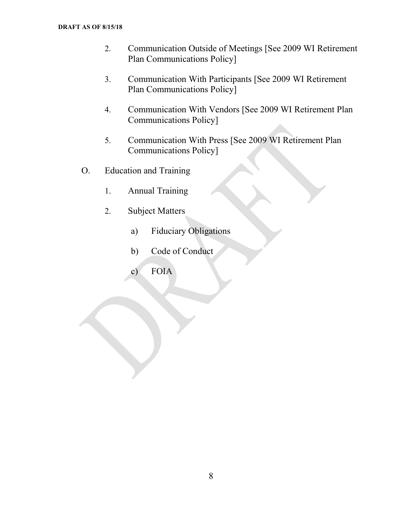- 2. Communication Outside of Meetings [See 2009 WI Retirement Plan Communications Policy]
- 3. Communication With Participants [See 2009 WI Retirement Plan Communications Policy]
- 4. Communication With Vendors [See 2009 WI Retirement Plan Communications Policy]
- 5. Communication With Press [See 2009 WI Retirement Plan Communications Policy]
- O. Education and Training
	- 1. Annual Training
	- 2. Subject Matters
		- a) Fiduciary Obligations
		- b) Code of Conduct
		- c) FOIA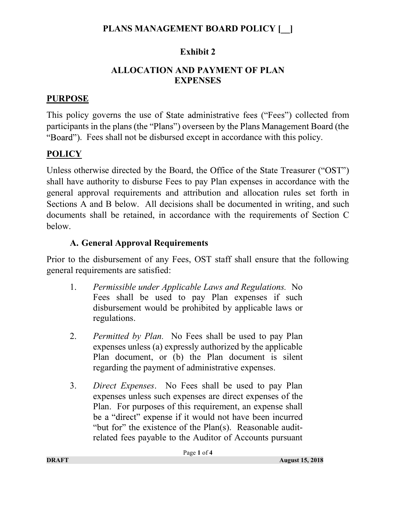# PLANS MANAGEMENT BOARD POLICY [  $\Box$ ]

# Exhibit 2

## ALLOCATION AND PAYMENT OF PLAN **EXPENSES**

# PURPOSE

This policy governs the use of State administrative fees ("Fees") collected from participants in the plans (the "Plans") overseen by the Plans Management Board (the . Fees shall not be disbursed except in accordance with this policy.

# **POLICY**

Unless otherwise directed by the Board, the Office of the State Treasurer ("OST") shall have authority to disburse Fees to pay Plan expenses in accordance with the general approval requirements and attribution and allocation rules set forth in Sections A and B below. All decisions shall be documented in writing, and such documents shall be retained, in accordance with the requirements of Section C below.

# A. General Approval Requirements

Prior to the disbursement of any Fees, OST staff shall ensure that the following general requirements are satisfied:

- 1. Permissible under Applicable Laws and Regulations. No Fees shall be used to pay Plan expenses if such disbursement would be prohibited by applicable laws or regulations.
- 2. Permitted by Plan. No Fees shall be used to pay Plan expenses unless (a) expressly authorized by the applicable Plan document, or (b) the Plan document is silent regarding the payment of administrative expenses.
- 3. Direct Expenses. No Fees shall be used to pay Plan expenses unless such expenses are direct expenses of the Plan. For purposes of this requirement, an expense shall be a "direct" expense if it would not have been incurred "but for" the existence of the  $Plan(s)$ . Reasonable auditrelated fees payable to the Auditor of Accounts pursuant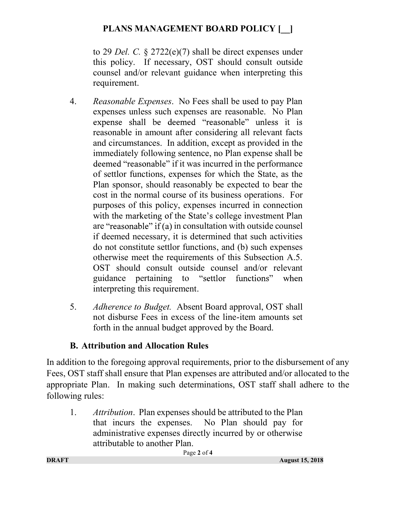# PLANS MANAGEMENT BOARD POLICY [  $\vert$  ]

to 29 Del. C.  $\frac{2722(e)}{7}$  shall be direct expenses under this policy. If necessary, OST should consult outside counsel and/or relevant guidance when interpreting this requirement.

- 4. Reasonable Expenses. No Fees shall be used to pay Plan expenses unless such expenses are reasonable. No Plan expense shall be deemed "reasonable" unless it is reasonable in amount after considering all relevant facts and circumstances. In addition, except as provided in the immediately following sentence, no Plan expense shall be deemed "reasonable" if it was incurred in the performance of settlor functions, expenses for which the State, as the Plan sponsor, should reasonably be expected to bear the cost in the normal course of its business operations. For purposes of this policy, expenses incurred in connection with the marketing of the State's college investment Plan are "reasonable" if (a) in consultation with outside counsel if deemed necessary, it is determined that such activities do not constitute settlor functions, and (b) such expenses otherwise meet the requirements of this Subsection A.5. OST should consult outside counsel and/or relevant guidance pertaining to "settlor functions" when interpreting this requirement.
- 5. Adherence to Budget. Absent Board approval, OST shall not disburse Fees in excess of the line-item amounts set forth in the annual budget approved by the Board.

# B. Attribution and Allocation Rules

In addition to the foregoing approval requirements, prior to the disbursement of any Fees, OST staff shall ensure that Plan expenses are attributed and/or allocated to the appropriate Plan. In making such determinations, OST staff shall adhere to the following rules:

1. Attribution. Plan expenses should be attributed to the Plan that incurs the expenses. No Plan should pay for administrative expenses directly incurred by or otherwise attributable to another Plan.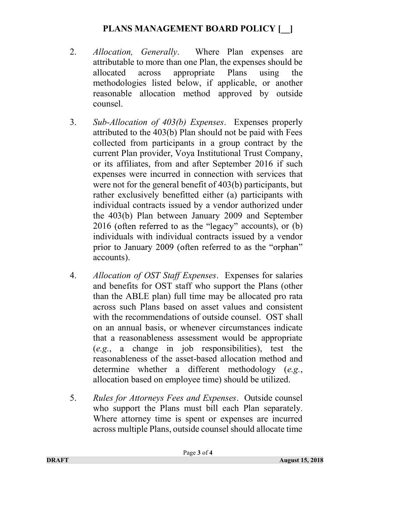## PLANS MANAGEMENT BOARD POLICY [  $\Box$ ]

- 2. *Allocation*, *Generally*. Where Plan expenses are attributable to more than one Plan, the expenses should be allocated across appropriate Plans using the methodologies listed below, if applicable, or another reasonable allocation method approved by outside counsel.
- 3. Sub-Allocation of 403(b) Expenses. Expenses properly attributed to the 403(b) Plan should not be paid with Fees collected from participants in a group contract by the current Plan provider, Voya Institutional Trust Company, or its affiliates, from and after September 2016 if such expenses were incurred in connection with services that were not for the general benefit of 403(b) participants, but rather exclusively benefitted either (a) participants with individual contracts issued by a vendor authorized under the 403(b) Plan between January 2009 and September  $2016$  (often referred to as the "legacy" accounts), or (b) individuals with individual contracts issued by a vendor prior to January 2009 (often referred to as the "orphan" accounts).
- 4. Allocation of OST Staff Expenses. Expenses for salaries and benefits for OST staff who support the Plans (other than the ABLE plan) full time may be allocated pro rata across such Plans based on asset values and consistent with the recommendations of outside counsel. OST shall on an annual basis, or whenever circumstances indicate that a reasonableness assessment would be appropriate (e.g., a change in job responsibilities), test the reasonableness of the asset-based allocation method and determine whether a different methodology (e.g., allocation based on employee time) should be utilized.
- 5. Rules for Attorneys Fees and Expenses. Outside counsel who support the Plans must bill each Plan separately. Where attorney time is spent or expenses are incurred across multiple Plans, outside counsel should allocate time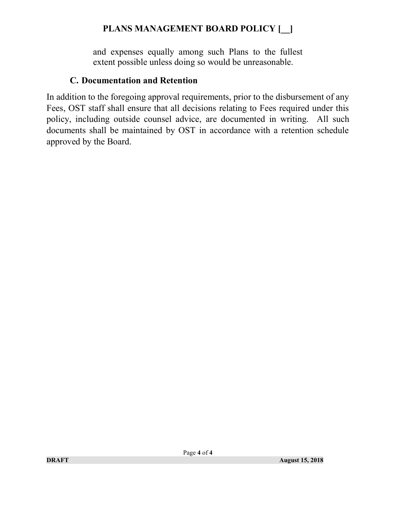# PLANS MANAGEMENT BOARD POLICY [  $\Box$ ]

and expenses equally among such Plans to the fullest extent possible unless doing so would be unreasonable.

#### C. Documentation and Retention

In addition to the foregoing approval requirements, prior to the disbursement of any Fees, OST staff shall ensure that all decisions relating to Fees required under this policy, including outside counsel advice, are documented in writing. All such documents shall be maintained by OST in accordance with a retention schedule approved by the Board.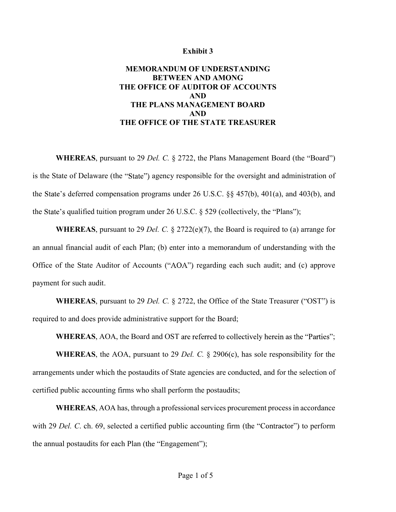#### Exhibit 3

#### MEMORANDUM OF UNDERSTANDING BETWEEN AND AMONG THE OFFICE OF AUDITOR OF ACCOUNTS AND THE PLANS MANAGEMENT BOARD AND THE OFFICE OF THE STATE TREASURER

WHEREAS, pursuant to 29 Del. C.  $\S$  2722, the Plans Management Board (the "Board") is the State of Delaware (the "State") agency responsible for the oversight and administration of the State's deferred compensation programs under 26 U.S.C.  $\S$ § 457(b), 401(a), and 403(b), and the State's qualified tuition program under 26 U.S.C.  $\S$  529 (collectively, the "Plans");

WHEREAS, pursuant to 29 Del. C. § 2722(e)(7), the Board is required to (a) arrange for an annual financial audit of each Plan; (b) enter into a memorandum of understanding with the Office of the State Auditor of Accounts ("AOA") regarding each such audit; and (c) approve payment for such audit.

**WHEREAS**, pursuant to 29 Del. C.  $\S$  2722, the Office of the State Treasurer ("OST") is required to and does provide administrative support for the Board;

WHEREAS, AOA, the Board and OST are referred to collectively herein as the "Parties"; **WHEREAS**, the AOA, pursuant to 29 Del. C.  $\S$  2906(c), has sole responsibility for the arrangements under which the postaudits of State agencies are conducted, and for the selection of certified public accounting firms who shall perform the postaudits;

WHEREAS, AOA has, through a professional services procurement process in accordance with 29 Del. C. ch. 69, selected a certified public accounting firm (the "Contractor") to perform the annual postaudits for each Plan (the "Engagement");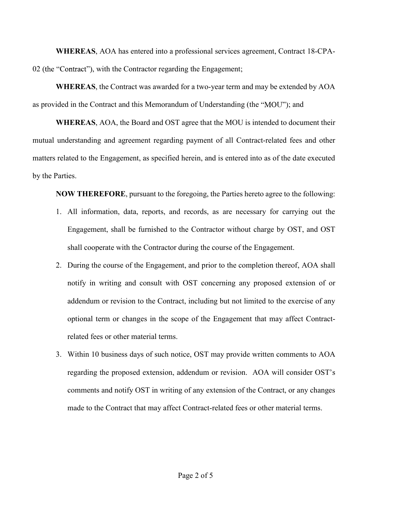WHEREAS, AOA has entered into a professional services agreement, Contract 18-CPA-02 (the "Contract"), with the Contractor regarding the Engagement;

WHEREAS, the Contract was awarded for a two-year term and may be extended by AOA as provided in the Contract and this Memorandum of Understanding (the "MOU"); and

WHEREAS, AOA, the Board and OST agree that the MOU is intended to document their mutual understanding and agreement regarding payment of all Contract-related fees and other matters related to the Engagement, as specified herein, and is entered into as of the date executed by the Parties. IEREAS, the Contract was awarded for a two-year term and may be extended by AOA<br>
in the Contract and this Memorandum of Understanding (the "MOU"); and<br>
IEREAS, AOA, the Board and OST agree that the MOU is intended to docum

NOW THEREFORE, pursuant to the foregoing, the Parties hereto agree to the following:

- 1. All information, data, reports, and records, as are necessary for carrying out the Engagement, shall be furnished to the Contractor without charge by OST, and OST
- 2. During the course of the Engagement, and prior to the completion thereof, AOA shall notify in writing and consult with OST concerning any proposed extension of or addendum or revision to the Contract, including but not limited to the exercise of any optional term or changes in the scope of the Engagement that may affect Contractrelated fees or other material terms.
- 3. Within 10 business days of such notice, OST may provide written comments to AOA regarding the proposed extension, addendum or revision. AOA will consider OST comments and notify OST in writing of any extension of the Contract, or any changes made to the Contract that may affect Contract-related fees or other material terms.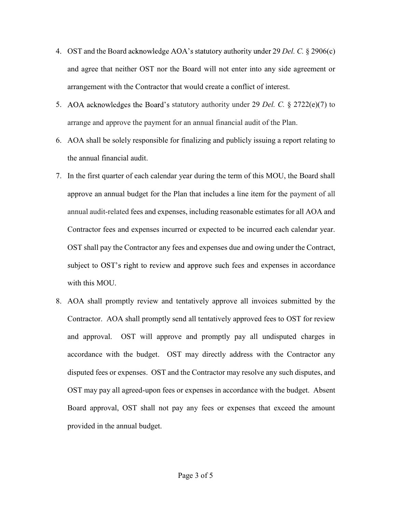- 4. OST and the Board acknowledge AOA's statutory authority under 29 Del. C. § 2906(c) and agree that neither OST nor the Board will not enter into any side agreement or arrangement with the Contractor that would create a conflict of interest.
- 5. AOA acknowledges the Board's statutory authority under 29 Del. C.  $\S 2722(e)(7)$  to arrange and approve the payment for an annual financial audit of the Plan.
- 6. AOA shall be solely responsible for finalizing and publicly issuing a report relating to the annual financial audit.
- 7. In the first quarter of each calendar year during the term of this MOU, the Board shall approve an annual budget for the Plan that includes a line item for the payment of all annual audit-related fees and expenses, including reasonable estimates for all AOA and Contractor fees and expenses incurred or expected to be incurred each calendar year. OST shall pay the Contractor any fees and expenses due and owing under the Contract, subject to OST's right to review and approve such fees and expenses in accordance with this MOU.
- 8. AOA shall promptly review and tentatively approve all invoices submitted by the Contractor. AOA shall promptly send all tentatively approved fees to OST for review and approval. OST will approve and promptly pay all undisputed charges in accordance with the budget. OST may directly address with the Contractor any disputed fees or expenses. OST and the Contractor may resolve any such disputes, and OST may pay all agreed-upon fees or expenses in accordance with the budget. Absent Board approval, OST shall not pay any fees or expenses that exceed the amount provided in the annual budget.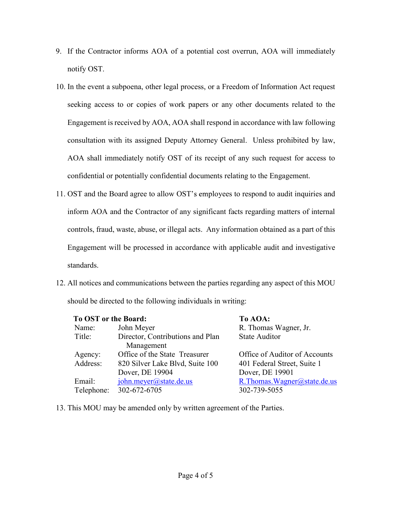- 9. If the Contractor informs AOA of a potential cost overrun, AOA will immediately notify OST.
- 10. In the event a subpoena, other legal process, or a Freedom of Information Act request seeking access to or copies of work papers or any other documents related to the Engagement is received by AOA, AOA shall respond in accordance with law following consultation with its assigned Deputy Attorney General. Unless prohibited by law, AOA shall immediately notify OST of its receipt of any such request for access to confidential or potentially confidential documents relating to the Engagement.
- 11. OST and the Board agree to allow OST's employees to respond to audit inquiries and inform AOA and the Contractor of any significant facts regarding matters of internal controls, fraud, waste, abuse, or illegal acts. Any information obtained as a part of this Engagement will be processed in accordance with applicable audit and investigative standards.
- 12. All notices and communications between the parties regarding any aspect of this MOU should be directed to the following individuals in writing:

| To OST or the Board: |                                  | To AOA:                       |
|----------------------|----------------------------------|-------------------------------|
| Name:                | John Meyer                       | R. Thomas Wagner, Jr.         |
| Title:               | Director, Contributions and Plan | <b>State Auditor</b>          |
|                      | Management                       |                               |
| Agency:              | Office of the State Treasurer    | Office of Auditor of Accounts |
| Address:             | 820 Silver Lake Blvd, Suite 100  | 401 Federal Street, Suite 1   |
|                      | Dover, DE 19904                  | Dover, DE 19901               |
| Email:               | john.meyer@state.de.us           | R.Thomas.Wagner@state.de.us   |
| Telephone:           | 302-672-6705                     | 302-739-5055                  |

13. This MOU may be amended only by written agreement of the Parties.